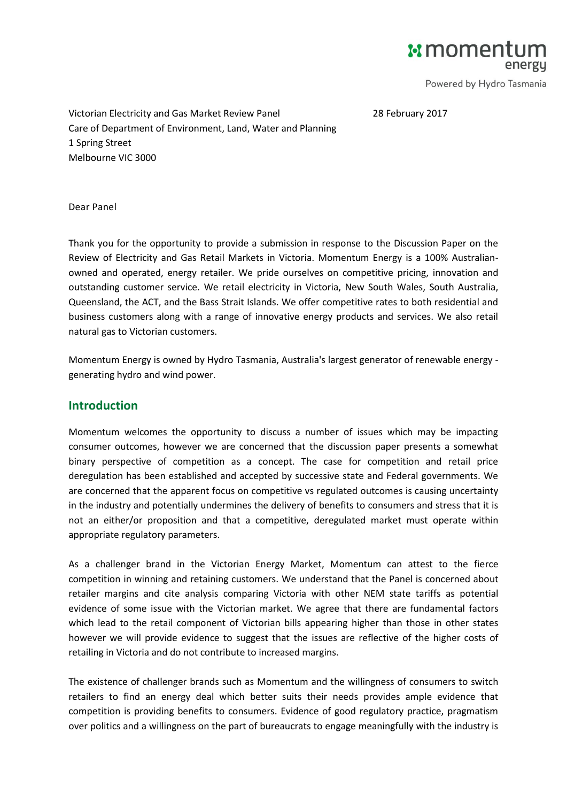**E** moment

Powered by Hydro Tasmania

28 February 2017

Victorian Electricity and Gas Market Review Panel Care of Department of Environment, Land, Water and Planning 1 Spring Street Melbourne VIC 3000

Dear Panel

Thank you for the opportunity to provide a submission in response to the Discussion Paper on the Review of Electricity and Gas Retail Markets in Victoria. Momentum Energy is a 100% Australianowned and operated, energy retailer. We pride ourselves on competitive pricing, innovation and outstanding customer service. We retail electricity in Victoria, New South Wales, South Australia, Queensland, the ACT, and the Bass Strait Islands. We offer competitive rates to both residential and business customers along with a range of innovative energy products and services. We also retail natural gas to Victorian customers.

Momentum Energy is owned by [Hydro Tasmania,](http://www.momentumenergy.com.au/about-us/hydro-tasmania-group) Australia's largest generator of renewable energy generating hydro and wind power.

### **Introduction**

Momentum welcomes the opportunity to discuss a number of issues which may be impacting consumer outcomes, however we are concerned that the discussion paper presents a somewhat binary perspective of competition as a concept. The case for competition and retail price deregulation has been established and accepted by successive state and Federal governments. We are concerned that the apparent focus on competitive vs regulated outcomes is causing uncertainty in the industry and potentially undermines the delivery of benefits to consumers and stress that it is not an either/or proposition and that a competitive, deregulated market must operate within appropriate regulatory parameters.

As a challenger brand in the Victorian Energy Market, Momentum can attest to the fierce competition in winning and retaining customers. We understand that the Panel is concerned about retailer margins and cite analysis comparing Victoria with other NEM state tariffs as potential evidence of some issue with the Victorian market. We agree that there are fundamental factors which lead to the retail component of Victorian bills appearing higher than those in other states however we will provide evidence to suggest that the issues are reflective of the higher costs of retailing in Victoria and do not contribute to increased margins.

The existence of challenger brands such as Momentum and the willingness of consumers to switch retailers to find an energy deal which better suits their needs provides ample evidence that competition is providing benefits to consumers. Evidence of good regulatory practice, pragmatism over politics and a willingness on the part of bureaucrats to engage meaningfully with the industry is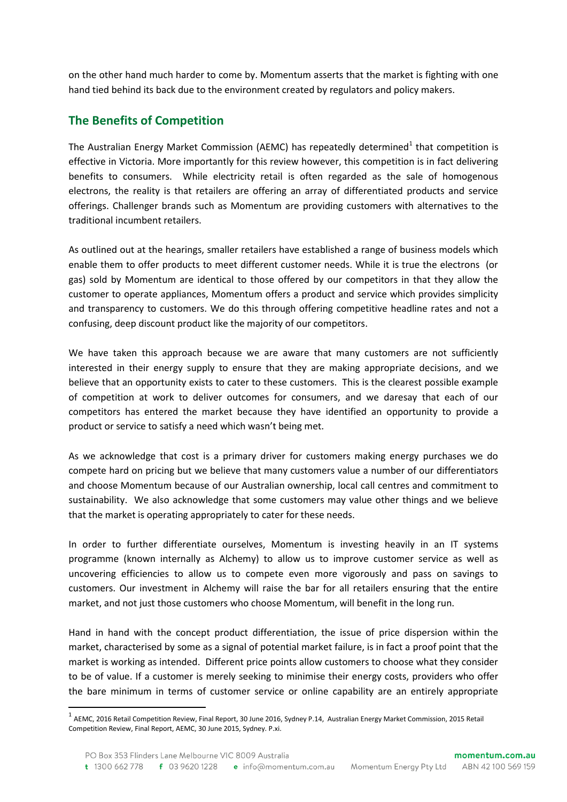on the other hand much harder to come by. Momentum asserts that the market is fighting with one hand tied behind its back due to the environment created by regulators and policy makers.

# **The Benefits of Competition**

**.** 

The Australian Energy Market Commission (AEMC) has repeatedly determined<sup>1</sup> that competition is effective in Victoria. More importantly for this review however, this competition is in fact delivering benefits to consumers. While electricity retail is often regarded as the sale of homogenous electrons, the reality is that retailers are offering an array of differentiated products and service offerings. Challenger brands such as Momentum are providing customers with alternatives to the traditional incumbent retailers.

As outlined out at the hearings, smaller retailers have established a range of business models which enable them to offer products to meet different customer needs. While it is true the electrons (or gas) sold by Momentum are identical to those offered by our competitors in that they allow the customer to operate appliances, Momentum offers a product and service which provides simplicity and transparency to customers. We do this through offering competitive headline rates and not a confusing, deep discount product like the majority of our competitors.

We have taken this approach because we are aware that many customers are not sufficiently interested in their energy supply to ensure that they are making appropriate decisions, and we believe that an opportunity exists to cater to these customers. This is the clearest possible example of competition at work to deliver outcomes for consumers, and we daresay that each of our competitors has entered the market because they have identified an opportunity to provide a product or service to satisfy a need which wasn't being met.

As we acknowledge that cost is a primary driver for customers making energy purchases we do compete hard on pricing but we believe that many customers value a number of our differentiators and choose Momentum because of our Australian ownership, local call centres and commitment to sustainability. We also acknowledge that some customers may value other things and we believe that the market is operating appropriately to cater for these needs.

In order to further differentiate ourselves, Momentum is investing heavily in an IT systems programme (known internally as Alchemy) to allow us to improve customer service as well as uncovering efficiencies to allow us to compete even more vigorously and pass on savings to customers. Our investment in Alchemy will raise the bar for all retailers ensuring that the entire market, and not just those customers who choose Momentum, will benefit in the long run.

Hand in hand with the concept product differentiation, the issue of price dispersion within the market, characterised by some as a signal of potential market failure, is in fact a proof point that the market is working as intended. Different price points allow customers to choose what they consider to be of value. If a customer is merely seeking to minimise their energy costs, providers who offer the bare minimum in terms of customer service or online capability are an entirely appropriate

<sup>&</sup>lt;sup>1</sup> AEMC, 2016 Retail Competition Review, Final Report, 30 June 2016, Sydney P.14, Australian Energy Market Commission, 2015 Retail Competition Review, Final Report, AEMC, 30 June 2015, Sydney. P.xi.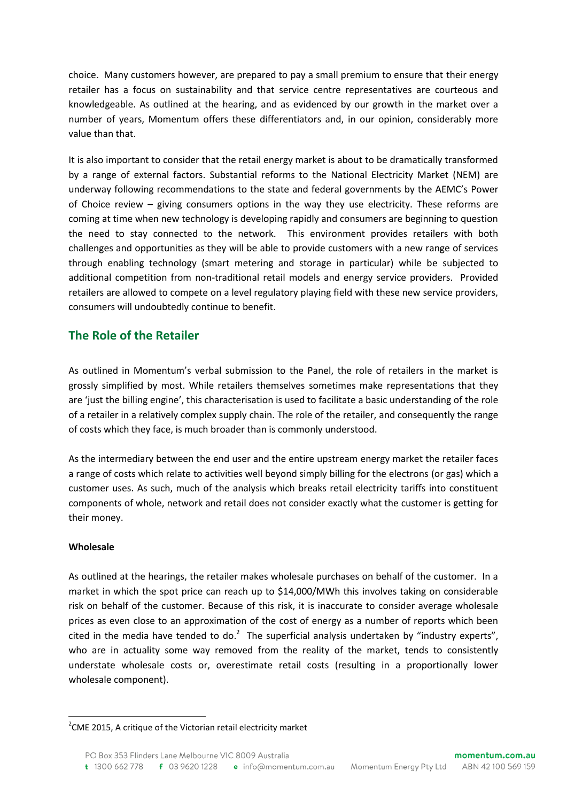choice. Many customers however, are prepared to pay a small premium to ensure that their energy retailer has a focus on sustainability and that service centre representatives are courteous and knowledgeable. As outlined at the hearing, and as evidenced by our growth in the market over a number of years, Momentum offers these differentiators and, in our opinion, considerably more value than that.

It is also important to consider that the retail energy market is about to be dramatically transformed by a range of external factors. Substantial reforms to the National Electricity Market (NEM) are underway following recommendations to the state and federal governments by the AEMC's Power of Choice review – giving consumers options in the way they use electricity. These reforms are coming at time when new technology is developing rapidly and consumers are beginning to question the need to stay connected to the network. This environment provides retailers with both challenges and opportunities as they will be able to provide customers with a new range of services through enabling technology (smart metering and storage in particular) while be subjected to additional competition from non-traditional retail models and energy service providers. Provided retailers are allowed to compete on a level regulatory playing field with these new service providers, consumers will undoubtedly continue to benefit.

## **The Role of the Retailer**

As outlined in Momentum's verbal submission to the Panel, the role of retailers in the market is grossly simplified by most. While retailers themselves sometimes make representations that they are 'just the billing engine', this characterisation is used to facilitate a basic understanding of the role of a retailer in a relatively complex supply chain. The role of the retailer, and consequently the range of costs which they face, is much broader than is commonly understood.

As the intermediary between the end user and the entire upstream energy market the retailer faces a range of costs which relate to activities well beyond simply billing for the electrons (or gas) which a customer uses. As such, much of the analysis which breaks retail electricity tariffs into constituent components of whole, network and retail does not consider exactly what the customer is getting for their money.

### **Wholesale**

**.** 

As outlined at the hearings, the retailer makes wholesale purchases on behalf of the customer. In a market in which the spot price can reach up to \$14,000/MWh this involves taking on considerable risk on behalf of the customer. Because of this risk, it is inaccurate to consider average wholesale prices as even close to an approximation of the cost of energy as a number of reports which been cited in the media have tended to do.<sup>2</sup> The superficial analysis undertaken by "industry experts", who are in actuality some way removed from the reality of the market, tends to consistently understate wholesale costs or, overestimate retail costs (resulting in a proportionally lower wholesale component).

 $2$ CME 2015, A critique of the Victorian retail electricity market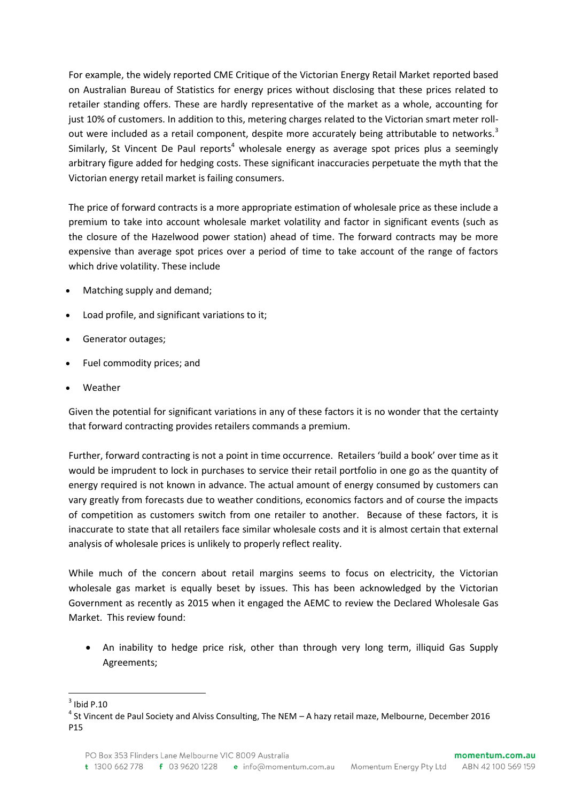For example, the widely reported CME Critique of the Victorian Energy Retail Market reported based on Australian Bureau of Statistics for energy prices without disclosing that these prices related to retailer standing offers. These are hardly representative of the market as a whole, accounting for just 10% of customers. In addition to this, metering charges related to the Victorian smart meter rollout were included as a retail component, despite more accurately being attributable to networks.<sup>3</sup> Similarly, St Vincent De Paul reports<sup>4</sup> wholesale energy as average spot prices plus a seemingly arbitrary figure added for hedging costs. These significant inaccuracies perpetuate the myth that the Victorian energy retail market is failing consumers.

The price of forward contracts is a more appropriate estimation of wholesale price as these include a premium to take into account wholesale market volatility and factor in significant events (such as the closure of the Hazelwood power station) ahead of time. The forward contracts may be more expensive than average spot prices over a period of time to take account of the range of factors which drive volatility. These include

- Matching supply and demand;
- Load profile, and significant variations to it;
- Generator outages;
- Fuel commodity prices; and
- Weather

Given the potential for significant variations in any of these factors it is no wonder that the certainty that forward contracting provides retailers commands a premium.

Further, forward contracting is not a point in time occurrence. Retailers 'build a book' over time as it would be imprudent to lock in purchases to service their retail portfolio in one go as the quantity of energy required is not known in advance. The actual amount of energy consumed by customers can vary greatly from forecasts due to weather conditions, economics factors and of course the impacts of competition as customers switch from one retailer to another. Because of these factors, it is inaccurate to state that all retailers face similar wholesale costs and it is almost certain that external analysis of wholesale prices is unlikely to properly reflect reality.

While much of the concern about retail margins seems to focus on electricity, the Victorian wholesale gas market is equally beset by issues. This has been acknowledged by the Victorian Government as recently as 2015 when it engaged the AEMC to review the Declared Wholesale Gas Market. This review found:

 An inability to hedge price risk, other than through very long term, illiquid Gas Supply Agreements;

**<sup>.</sup>**  $3$  Ibid P.10

<sup>&</sup>lt;sup>4</sup> St Vincent de Paul Society and Alviss Consulting, The NEM – A hazy retail maze, Melbourne, December 2016 P15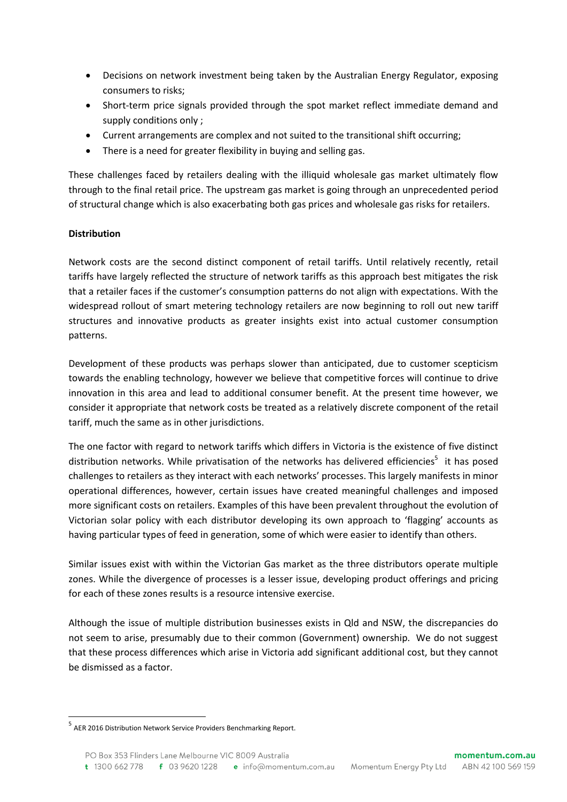- Decisions on network investment being taken by the Australian Energy Regulator, exposing consumers to risks;
- Short-term price signals provided through the spot market reflect immediate demand and supply conditions only ;
- Current arrangements are complex and not suited to the transitional shift occurring;
- There is a need for greater flexibility in buying and selling gas.

These challenges faced by retailers dealing with the illiquid wholesale gas market ultimately flow through to the final retail price. The upstream gas market is going through an unprecedented period of structural change which is also exacerbating both gas prices and wholesale gas risks for retailers.

### **Distribution**

Network costs are the second distinct component of retail tariffs. Until relatively recently, retail tariffs have largely reflected the structure of network tariffs as this approach best mitigates the risk that a retailer faces if the customer's consumption patterns do not align with expectations. With the widespread rollout of smart metering technology retailers are now beginning to roll out new tariff structures and innovative products as greater insights exist into actual customer consumption patterns.

Development of these products was perhaps slower than anticipated, due to customer scepticism towards the enabling technology, however we believe that competitive forces will continue to drive innovation in this area and lead to additional consumer benefit. At the present time however, we consider it appropriate that network costs be treated as a relatively discrete component of the retail tariff, much the same as in other jurisdictions.

The one factor with regard to network tariffs which differs in Victoria is the existence of five distinct distribution networks. While privatisation of the networks has delivered efficiencies<sup>5</sup> it has posed challenges to retailers as they interact with each networks' processes. This largely manifests in minor operational differences, however, certain issues have created meaningful challenges and imposed more significant costs on retailers. Examples of this have been prevalent throughout the evolution of Victorian solar policy with each distributor developing its own approach to 'flagging' accounts as having particular types of feed in generation, some of which were easier to identify than others.

Similar issues exist with within the Victorian Gas market as the three distributors operate multiple zones. While the divergence of processes is a lesser issue, developing product offerings and pricing for each of these zones results is a resource intensive exercise.

Although the issue of multiple distribution businesses exists in Qld and NSW, the discrepancies do not seem to arise, presumably due to their common (Government) ownership. We do not suggest that these process differences which arise in Victoria add significant additional cost, but they cannot be dismissed as a factor.

<sup>5</sup> AER 2016 Distribution Network Service Providers Benchmarking Report.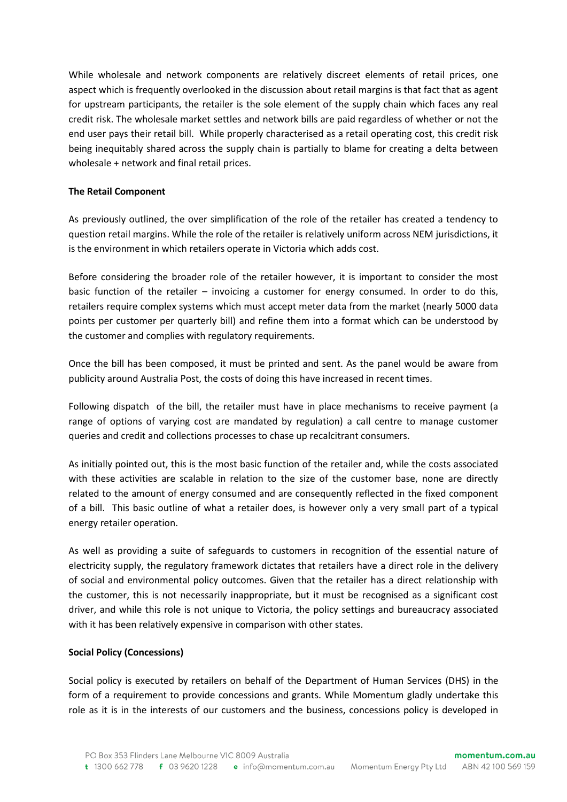While wholesale and network components are relatively discreet elements of retail prices, one aspect which is frequently overlooked in the discussion about retail margins is that fact that as agent for upstream participants, the retailer is the sole element of the supply chain which faces any real credit risk. The wholesale market settles and network bills are paid regardless of whether or not the end user pays their retail bill. While properly characterised as a retail operating cost, this credit risk being inequitably shared across the supply chain is partially to blame for creating a delta between wholesale + network and final retail prices.

#### **The Retail Component**

As previously outlined, the over simplification of the role of the retailer has created a tendency to question retail margins. While the role of the retailer is relatively uniform across NEM jurisdictions, it is the environment in which retailers operate in Victoria which adds cost.

Before considering the broader role of the retailer however, it is important to consider the most basic function of the retailer – invoicing a customer for energy consumed. In order to do this, retailers require complex systems which must accept meter data from the market (nearly 5000 data points per customer per quarterly bill) and refine them into a format which can be understood by the customer and complies with regulatory requirements.

Once the bill has been composed, it must be printed and sent. As the panel would be aware from publicity around Australia Post, the costs of doing this have increased in recent times.

Following dispatch of the bill, the retailer must have in place mechanisms to receive payment (a range of options of varying cost are mandated by regulation) a call centre to manage customer queries and credit and collections processes to chase up recalcitrant consumers.

As initially pointed out, this is the most basic function of the retailer and, while the costs associated with these activities are scalable in relation to the size of the customer base, none are directly related to the amount of energy consumed and are consequently reflected in the fixed component of a bill. This basic outline of what a retailer does, is however only a very small part of a typical energy retailer operation.

As well as providing a suite of safeguards to customers in recognition of the essential nature of electricity supply, the regulatory framework dictates that retailers have a direct role in the delivery of social and environmental policy outcomes. Given that the retailer has a direct relationship with the customer, this is not necessarily inappropriate, but it must be recognised as a significant cost driver, and while this role is not unique to Victoria, the policy settings and bureaucracy associated with it has been relatively expensive in comparison with other states.

#### **Social Policy (Concessions)**

Social policy is executed by retailers on behalf of the Department of Human Services (DHS) in the form of a requirement to provide concessions and grants. While Momentum gladly undertake this role as it is in the interests of our customers and the business, concessions policy is developed in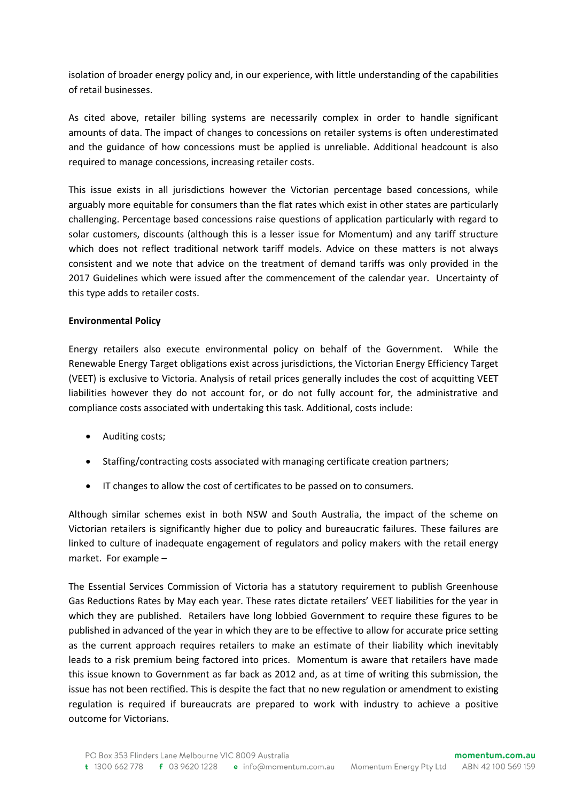isolation of broader energy policy and, in our experience, with little understanding of the capabilities of retail businesses.

As cited above, retailer billing systems are necessarily complex in order to handle significant amounts of data. The impact of changes to concessions on retailer systems is often underestimated and the guidance of how concessions must be applied is unreliable. Additional headcount is also required to manage concessions, increasing retailer costs.

This issue exists in all jurisdictions however the Victorian percentage based concessions, while arguably more equitable for consumers than the flat rates which exist in other states are particularly challenging. Percentage based concessions raise questions of application particularly with regard to solar customers, discounts (although this is a lesser issue for Momentum) and any tariff structure which does not reflect traditional network tariff models. Advice on these matters is not always consistent and we note that advice on the treatment of demand tariffs was only provided in the 2017 Guidelines which were issued after the commencement of the calendar year. Uncertainty of this type adds to retailer costs.

### **Environmental Policy**

Energy retailers also execute environmental policy on behalf of the Government. While the Renewable Energy Target obligations exist across jurisdictions, the Victorian Energy Efficiency Target (VEET) is exclusive to Victoria. Analysis of retail prices generally includes the cost of acquitting VEET liabilities however they do not account for, or do not fully account for, the administrative and compliance costs associated with undertaking this task. Additional, costs include:

- Auditing costs;
- Staffing/contracting costs associated with managing certificate creation partners;
- IT changes to allow the cost of certificates to be passed on to consumers.

Although similar schemes exist in both NSW and South Australia, the impact of the scheme on Victorian retailers is significantly higher due to policy and bureaucratic failures. These failures are linked to culture of inadequate engagement of regulators and policy makers with the retail energy market. For example –

The Essential Services Commission of Victoria has a statutory requirement to publish Greenhouse Gas Reductions Rates by May each year. These rates dictate retailers' VEET liabilities for the year in which they are published. Retailers have long lobbied Government to require these figures to be published in advanced of the year in which they are to be effective to allow for accurate price setting as the current approach requires retailers to make an estimate of their liability which inevitably leads to a risk premium being factored into prices. Momentum is aware that retailers have made this issue known to Government as far back as 2012 and, as at time of writing this submission, the issue has not been rectified. This is despite the fact that no new regulation or amendment to existing regulation is required if bureaucrats are prepared to work with industry to achieve a positive outcome for Victorians.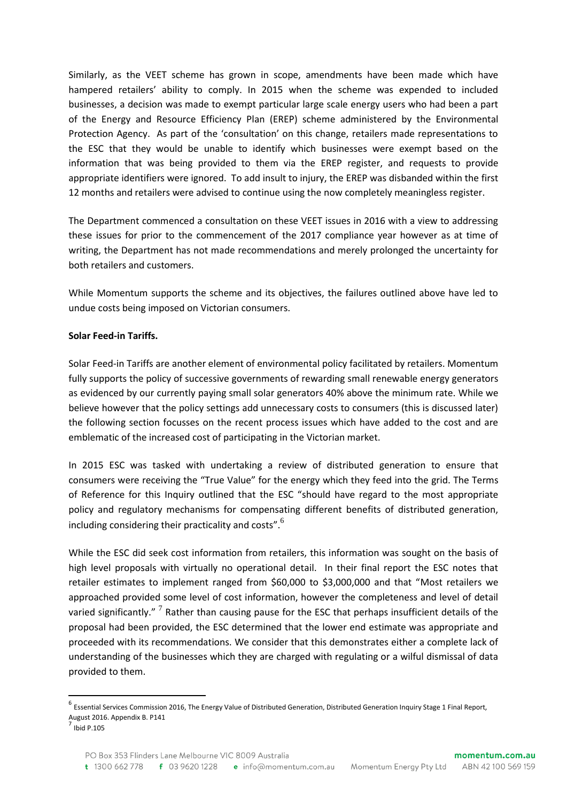Similarly, as the VEET scheme has grown in scope, amendments have been made which have hampered retailers' ability to comply. In 2015 when the scheme was expended to included businesses, a decision was made to exempt particular large scale energy users who had been a part of the Energy and Resource Efficiency Plan (EREP) scheme administered by the Environmental Protection Agency. As part of the 'consultation' on this change, retailers made representations to the ESC that they would be unable to identify which businesses were exempt based on the information that was being provided to them via the EREP register, and requests to provide appropriate identifiers were ignored. To add insult to injury, the EREP was disbanded within the first 12 months and retailers were advised to continue using the now completely meaningless register.

The Department commenced a consultation on these VEET issues in 2016 with a view to addressing these issues for prior to the commencement of the 2017 compliance year however as at time of writing, the Department has not made recommendations and merely prolonged the uncertainty for both retailers and customers.

While Momentum supports the scheme and its objectives, the failures outlined above have led to undue costs being imposed on Victorian consumers.

### **Solar Feed-in Tariffs.**

Solar Feed-in Tariffs are another element of environmental policy facilitated by retailers. Momentum fully supports the policy of successive governments of rewarding small renewable energy generators as evidenced by our currently paying small solar generators 40% above the minimum rate. While we believe however that the policy settings add unnecessary costs to consumers (this is discussed later) the following section focusses on the recent process issues which have added to the cost and are emblematic of the increased cost of participating in the Victorian market.

In 2015 ESC was tasked with undertaking a review of distributed generation to ensure that consumers were receiving the "True Value" for the energy which they feed into the grid. The Terms of Reference for this Inquiry outlined that the ESC "should have regard to the most appropriate policy and regulatory mechanisms for compensating different benefits of distributed generation, including considering their practicality and costs".<sup>6</sup>

While the ESC did seek cost information from retailers, this information was sought on the basis of high level proposals with virtually no operational detail. In their final report the ESC notes that retailer estimates to implement ranged from \$60,000 to \$3,000,000 and that "Most retailers we approached provided some level of cost information, however the completeness and level of detail varied significantly."  $^7$  Rather than causing pause for the ESC that perhaps insufficient details of the proposal had been provided, the ESC determined that the lower end estimate was appropriate and proceeded with its recommendations. We consider that this demonstrates either a complete lack of understanding of the businesses which they are charged with regulating or a wilful dismissal of data provided to them.

1

<sup>&</sup>lt;sup>6</sup> Essential Services Commission 2016, The Energy Value of Distributed Generation, Distributed Generation Inquiry Stage 1 Final Report, August 2016. Appendix B. P141

 $<sup>7</sup>$  Ibid P.105</sup>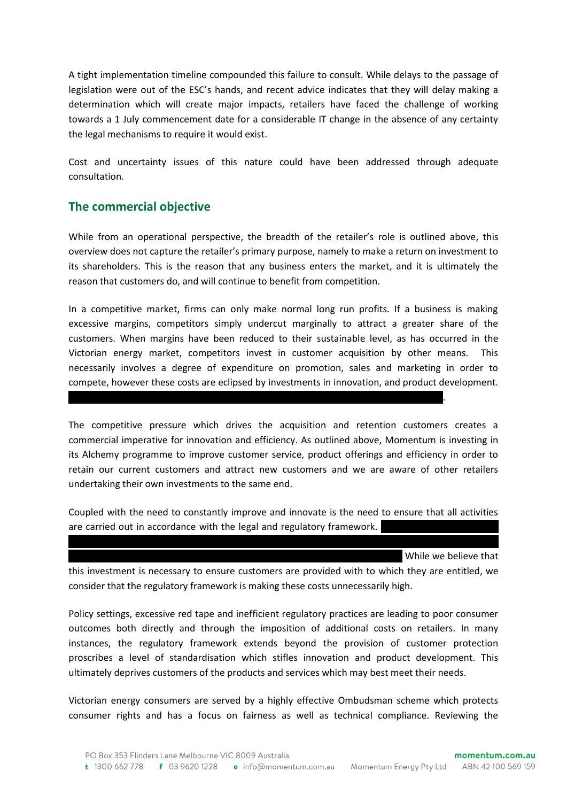A tight implementation timeline compounded this failure to consult. While delays to the passage of legislation were out of the ESC's hands, and recent advice indicates that they will delay making a determination which will create major impacts, retailers have faced the challenge of working towards a 1 July commencement date for a considerable IT change in the absence of any certainty the legal mechanisms to require it would exist.

Cost and uncertainty issues of this nature could have been addressed through adequate consultation.

## **The commercial objective**

While from an operational perspective, the breadth of the retailer's role is outlined above, this overview does not capture the retailer's primary purpose, namely to make a return on investment to its shareholders. This is the reason that any business enters the market, and it is ultimately the reason that customers do, and will continue to benefit from competition.

In a competitive market, firms can only make normal long run profits. If a business is making excessive margins, competitors simply undercut marginally to attract a greater share of the customers. When margins have been reduced to their sustainable level, as has occurred in the Victorian energy market, competitors invest in customer acquisition by other means. This necessarily involves a degree of expenditure on promotion, sales and marketing in order to compete, however these costs are eclipsed by investments in innovation, and product development.

………………………………………………………………………………………………………………………………………...

The competitive pressure which drives the acquisition and retention customers creates a commercial imperative for innovation and efficiency. As outlined above, Momentum is investing in its Alchemy programme to improve customer service, product offerings and efficiency in order to retain our current customers and attract new customers and we are aware of other retailers undertaking their own investments to the same end.

Coupled with the need to constantly improve and innovate is the need to ensure that all activities are carried out in accordance with the legal and regulatory framework.

 $X \times \mathbb{R}^n$  and regulatory regulatory regulatory regulatory regulatory resources, and significantly more in

While we believe that

this investment is necessary to ensure customers are provided with to which they are entitled, we consider that the regulatory framework is making these costs unnecessarily high.

Policy settings, excessive red tape and inefficient regulatory practices are leading to poor consumer outcomes both directly and through the imposition of additional costs on retailers. In many instances, the regulatory framework extends beyond the provision of customer protection proscribes a level of standardisation which stifles innovation and product development. This ultimately deprives customers of the products and services which may best meet their needs.

Victorian energy consumers are served by a highly effective Ombudsman scheme which protects consumer rights and has a focus on fairness as well as technical compliance. Reviewing the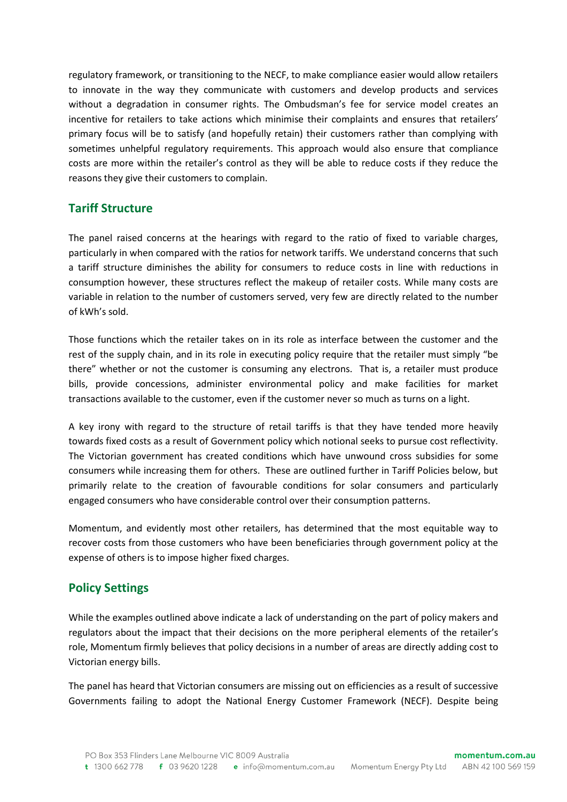regulatory framework, or transitioning to the NECF, to make compliance easier would allow retailers to innovate in the way they communicate with customers and develop products and services without a degradation in consumer rights. The Ombudsman's fee for service model creates an incentive for retailers to take actions which minimise their complaints and ensures that retailers' primary focus will be to satisfy (and hopefully retain) their customers rather than complying with sometimes unhelpful regulatory requirements. This approach would also ensure that compliance costs are more within the retailer's control as they will be able to reduce costs if they reduce the reasons they give their customers to complain.

## **Tariff Structure**

The panel raised concerns at the hearings with regard to the ratio of fixed to variable charges, particularly in when compared with the ratios for network tariffs. We understand concerns that such a tariff structure diminishes the ability for consumers to reduce costs in line with reductions in consumption however, these structures reflect the makeup of retailer costs. While many costs are variable in relation to the number of customers served, very few are directly related to the number of kWh's sold.

Those functions which the retailer takes on in its role as interface between the customer and the rest of the supply chain, and in its role in executing policy require that the retailer must simply "be there" whether or not the customer is consuming any electrons. That is, a retailer must produce bills, provide concessions, administer environmental policy and make facilities for market transactions available to the customer, even if the customer never so much as turns on a light.

A key irony with regard to the structure of retail tariffs is that they have tended more heavily towards fixed costs as a result of Government policy which notional seeks to pursue cost reflectivity. The Victorian government has created conditions which have unwound cross subsidies for some consumers while increasing them for others. These are outlined further in Tariff Policies below, but primarily relate to the creation of favourable conditions for solar consumers and particularly engaged consumers who have considerable control over their consumption patterns.

Momentum, and evidently most other retailers, has determined that the most equitable way to recover costs from those customers who have been beneficiaries through government policy at the expense of others is to impose higher fixed charges.

## **Policy Settings**

While the examples outlined above indicate a lack of understanding on the part of policy makers and regulators about the impact that their decisions on the more peripheral elements of the retailer's role, Momentum firmly believes that policy decisions in a number of areas are directly adding cost to Victorian energy bills.

The panel has heard that Victorian consumers are missing out on efficiencies as a result of successive Governments failing to adopt the National Energy Customer Framework (NECF). Despite being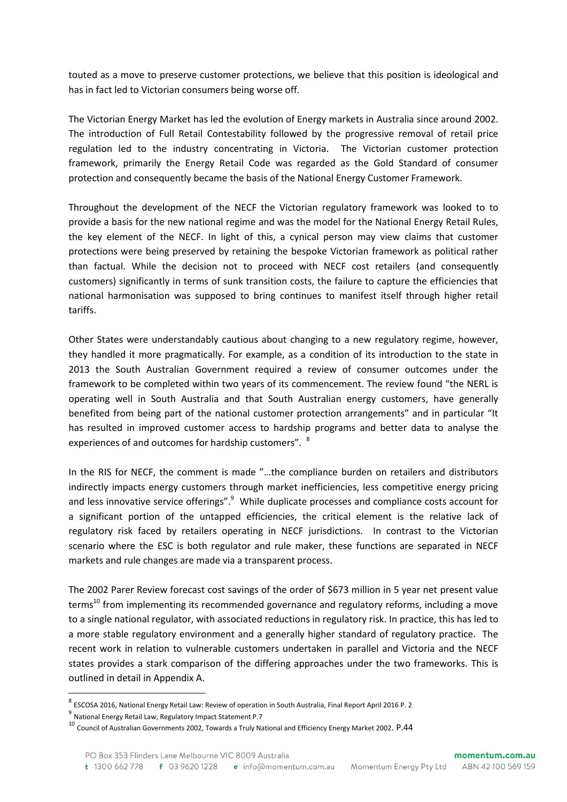touted as a move to preserve customer protections, we believe that this position is ideological and has in fact led to Victorian consumers being worse off.

The Victorian Energy Market has led the evolution of Energy markets in Australia since around 2002. The introduction of Full Retail Contestability followed by the progressive removal of retail price regulation led to the industry concentrating in Victoria. The Victorian customer protection framework, primarily the Energy Retail Code was regarded as the Gold Standard of consumer protection and consequently became the basis of the National Energy Customer Framework.

Throughout the development of the NECF the Victorian regulatory framework was looked to to provide a basis for the new national regime and was the model for the National Energy Retail Rules, the key element of the NECF. In light of this, a cynical person may view claims that customer protections were being preserved by retaining the bespoke Victorian framework as political rather than factual. While the decision not to proceed with NECF cost retailers (and consequently customers) significantly in terms of sunk transition costs, the failure to capture the efficiencies that national harmonisation was supposed to bring continues to manifest itself through higher retail tariffs.

Other States were understandably cautious about changing to a new regulatory regime, however, they handled it more pragmatically. For example, as a condition of its introduction to the state in 2013 the South Australian Government required a review of consumer outcomes under the framework to be completed within two years of its commencement. The review found "the NERL is operating well in South Australia and that South Australian energy customers, have generally benefited from being part of the national customer protection arrangements" and in particular "It has resulted in improved customer access to hardship programs and better data to analyse the experiences of and outcomes for hardship customers". <sup>8</sup>

In the RIS for NECF, the comment is made "…the compliance burden on retailers and distributors indirectly impacts energy customers through market inefficiencies, less competitive energy pricing and less innovative service offerings".<sup>9</sup> While duplicate processes and compliance costs account for a significant portion of the untapped efficiencies, the critical element is the relative lack of regulatory risk faced by retailers operating in NECF jurisdictions. In contrast to the Victorian scenario where the ESC is both regulator and rule maker, these functions are separated in NECF markets and rule changes are made via a transparent process.

The 2002 Parer Review forecast cost savings of the order of \$673 million in 5 year net present value terms<sup>10</sup> from implementing its recommended governance and regulatory reforms, including a move to a single national regulator, with associated reductions in regulatory risk. In practice, this has led to a more stable regulatory environment and a generally higher standard of regulatory practice. The recent work in relation to vulnerable customers undertaken in parallel and Victoria and the NECF states provides a stark comparison of the differing approaches under the two frameworks. This is outlined in detail in Appendix A.

<sup>&</sup>lt;sup>8</sup> ESCOSA 2016, National Energy Retail Law: Review of operation in South Australia, Final Report April 2016 P. 2

<sup>&</sup>lt;sup>9</sup> National Energy Retail Law, Regulatory Impact Statement P.7

<sup>10</sup> Council of Australian Governments 2002, Towards a Truly National and Efficiency Energy Market 2002. P.44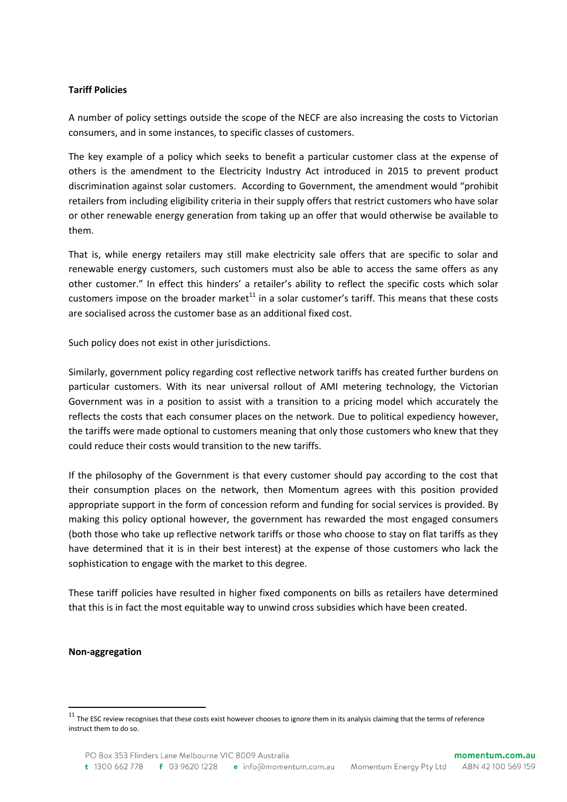#### **Tariff Policies**

A number of policy settings outside the scope of the NECF are also increasing the costs to Victorian consumers, and in some instances, to specific classes of customers.

The key example of a policy which seeks to benefit a particular customer class at the expense of others is the amendment to the Electricity Industry Act introduced in 2015 to prevent product discrimination against solar customers. According to Government, the amendment would "prohibit retailers from including eligibility criteria in their supply offers that restrict customers who have solar or other renewable energy generation from taking up an offer that would otherwise be available to them.

That is, while energy retailers may still make electricity sale offers that are specific to solar and renewable energy customers, such customers must also be able to access the same offers as any other customer." In effect this hinders' a retailer's ability to reflect the specific costs which solar customers impose on the broader market $^{11}$  in a solar customer's tariff. This means that these costs are socialised across the customer base as an additional fixed cost.

Such policy does not exist in other jurisdictions.

Similarly, government policy regarding cost reflective network tariffs has created further burdens on particular customers. With its near universal rollout of AMI metering technology, the Victorian Government was in a position to assist with a transition to a pricing model which accurately the reflects the costs that each consumer places on the network. Due to political expediency however, the tariffs were made optional to customers meaning that only those customers who knew that they could reduce their costs would transition to the new tariffs.

If the philosophy of the Government is that every customer should pay according to the cost that their consumption places on the network, then Momentum agrees with this position provided appropriate support in the form of concession reform and funding for social services is provided. By making this policy optional however, the government has rewarded the most engaged consumers (both those who take up reflective network tariffs or those who choose to stay on flat tariffs as they have determined that it is in their best interest) at the expense of those customers who lack the sophistication to engage with the market to this degree.

These tariff policies have resulted in higher fixed components on bills as retailers have determined that this is in fact the most equitable way to unwind cross subsidies which have been created.

#### **Non-aggregation**

 $11$  The ESC review recognises that these costs exist however chooses to ignore them in its analysis claiming that the terms of reference instruct them to do so.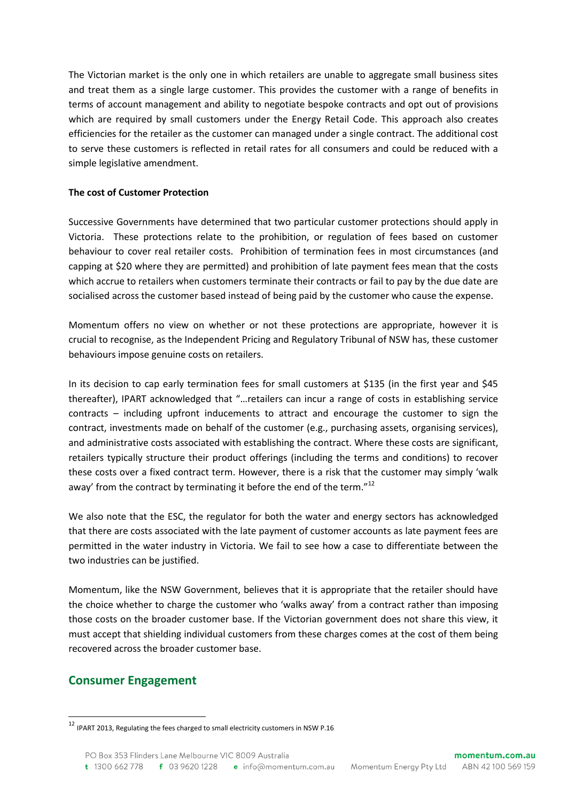The Victorian market is the only one in which retailers are unable to aggregate small business sites and treat them as a single large customer. This provides the customer with a range of benefits in terms of account management and ability to negotiate bespoke contracts and opt out of provisions which are required by small customers under the Energy Retail Code. This approach also creates efficiencies for the retailer as the customer can managed under a single contract. The additional cost to serve these customers is reflected in retail rates for all consumers and could be reduced with a simple legislative amendment.

### **The cost of Customer Protection**

Successive Governments have determined that two particular customer protections should apply in Victoria. These protections relate to the prohibition, or regulation of fees based on customer behaviour to cover real retailer costs. Prohibition of termination fees in most circumstances (and capping at \$20 where they are permitted) and prohibition of late payment fees mean that the costs which accrue to retailers when customers terminate their contracts or fail to pay by the due date are socialised across the customer based instead of being paid by the customer who cause the expense.

Momentum offers no view on whether or not these protections are appropriate, however it is crucial to recognise, as the Independent Pricing and Regulatory Tribunal of NSW has, these customer behaviours impose genuine costs on retailers.

In its decision to cap early termination fees for small customers at \$135 (in the first year and \$45 thereafter), IPART acknowledged that "…retailers can incur a range of costs in establishing service contracts – including upfront inducements to attract and encourage the customer to sign the contract, investments made on behalf of the customer (e.g., purchasing assets, organising services), and administrative costs associated with establishing the contract. Where these costs are significant, retailers typically structure their product offerings (including the terms and conditions) to recover these costs over a fixed contract term. However, there is a risk that the customer may simply 'walk away' from the contract by terminating it before the end of the term."<sup>12</sup>

We also note that the ESC, the regulator for both the water and energy sectors has acknowledged that there are costs associated with the late payment of customer accounts as late payment fees are permitted in the water industry in Victoria. We fail to see how a case to differentiate between the two industries can be justified.

Momentum, like the NSW Government, believes that it is appropriate that the retailer should have the choice whether to charge the customer who 'walks away' from a contract rather than imposing those costs on the broader customer base. If the Victorian government does not share this view, it must accept that shielding individual customers from these charges comes at the cost of them being recovered across the broader customer base.

## **Consumer Engagement**

 $12$  IPART 2013, Regulating the fees charged to small electricity customers in NSW P.16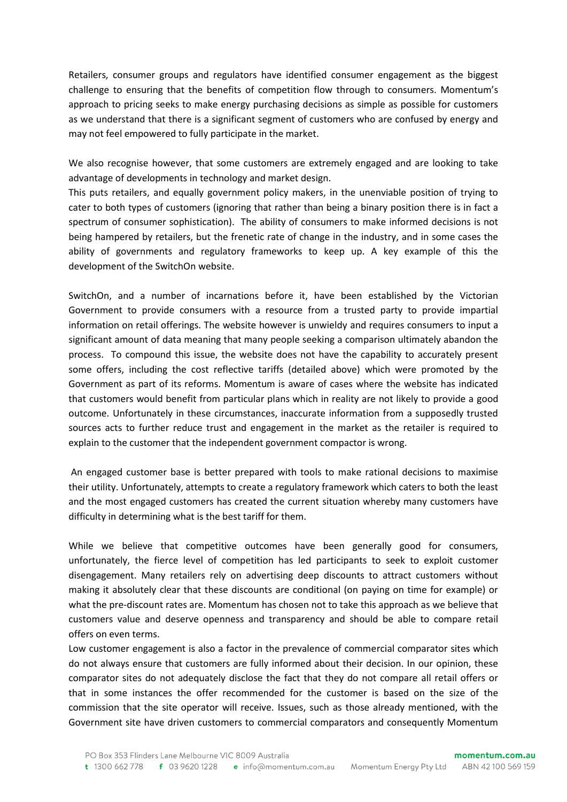Retailers, consumer groups and regulators have identified consumer engagement as the biggest challenge to ensuring that the benefits of competition flow through to consumers. Momentum's approach to pricing seeks to make energy purchasing decisions as simple as possible for customers as we understand that there is a significant segment of customers who are confused by energy and may not feel empowered to fully participate in the market.

We also recognise however, that some customers are extremely engaged and are looking to take advantage of developments in technology and market design.

This puts retailers, and equally government policy makers, in the unenviable position of trying to cater to both types of customers (ignoring that rather than being a binary position there is in fact a spectrum of consumer sophistication). The ability of consumers to make informed decisions is not being hampered by retailers, but the frenetic rate of change in the industry, and in some cases the ability of governments and regulatory frameworks to keep up. A key example of this the development of the SwitchOn website.

SwitchOn, and a number of incarnations before it, have been established by the Victorian Government to provide consumers with a resource from a trusted party to provide impartial information on retail offerings. The website however is unwieldy and requires consumers to input a significant amount of data meaning that many people seeking a comparison ultimately abandon the process. To compound this issue, the website does not have the capability to accurately present some offers, including the cost reflective tariffs (detailed above) which were promoted by the Government as part of its reforms. Momentum is aware of cases where the website has indicated that customers would benefit from particular plans which in reality are not likely to provide a good outcome. Unfortunately in these circumstances, inaccurate information from a supposedly trusted sources acts to further reduce trust and engagement in the market as the retailer is required to explain to the customer that the independent government compactor is wrong.

An engaged customer base is better prepared with tools to make rational decisions to maximise their utility. Unfortunately, attempts to create a regulatory framework which caters to both the least and the most engaged customers has created the current situation whereby many customers have difficulty in determining what is the best tariff for them.

While we believe that competitive outcomes have been generally good for consumers, unfortunately, the fierce level of competition has led participants to seek to exploit customer disengagement. Many retailers rely on advertising deep discounts to attract customers without making it absolutely clear that these discounts are conditional (on paying on time for example) or what the pre-discount rates are. Momentum has chosen not to take this approach as we believe that customers value and deserve openness and transparency and should be able to compare retail offers on even terms.

Low customer engagement is also a factor in the prevalence of commercial comparator sites which do not always ensure that customers are fully informed about their decision. In our opinion, these comparator sites do not adequately disclose the fact that they do not compare all retail offers or that in some instances the offer recommended for the customer is based on the size of the commission that the site operator will receive. Issues, such as those already mentioned, with the Government site have driven customers to commercial comparators and consequently Momentum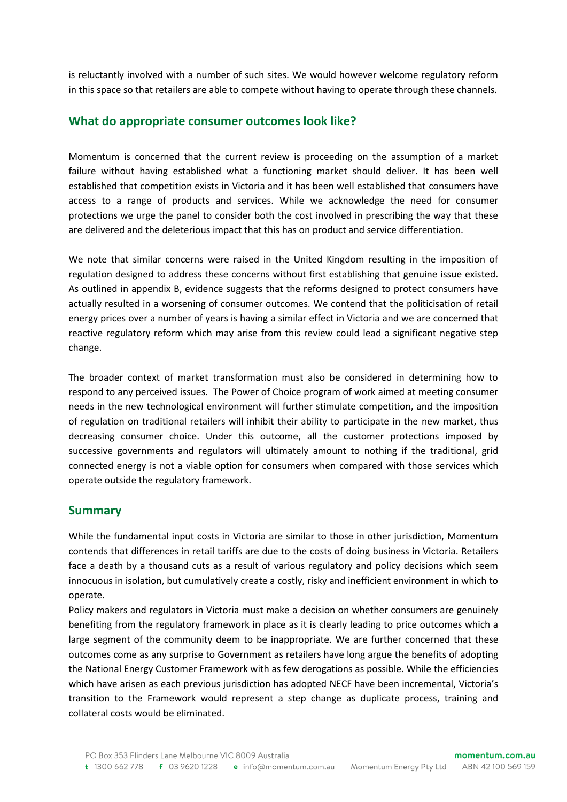is reluctantly involved with a number of such sites. We would however welcome regulatory reform in this space so that retailers are able to compete without having to operate through these channels.

### **What do appropriate consumer outcomes look like?**

Momentum is concerned that the current review is proceeding on the assumption of a market failure without having established what a functioning market should deliver. It has been well established that competition exists in Victoria and it has been well established that consumers have access to a range of products and services. While we acknowledge the need for consumer protections we urge the panel to consider both the cost involved in prescribing the way that these are delivered and the deleterious impact that this has on product and service differentiation.

We note that similar concerns were raised in the United Kingdom resulting in the imposition of regulation designed to address these concerns without first establishing that genuine issue existed. As outlined in appendix B, evidence suggests that the reforms designed to protect consumers have actually resulted in a worsening of consumer outcomes. We contend that the politicisation of retail energy prices over a number of years is having a similar effect in Victoria and we are concerned that reactive regulatory reform which may arise from this review could lead a significant negative step change.

The broader context of market transformation must also be considered in determining how to respond to any perceived issues. The Power of Choice program of work aimed at meeting consumer needs in the new technological environment will further stimulate competition, and the imposition of regulation on traditional retailers will inhibit their ability to participate in the new market, thus decreasing consumer choice. Under this outcome, all the customer protections imposed by successive governments and regulators will ultimately amount to nothing if the traditional, grid connected energy is not a viable option for consumers when compared with those services which operate outside the regulatory framework.

### **Summary**

While the fundamental input costs in Victoria are similar to those in other jurisdiction, Momentum contends that differences in retail tariffs are due to the costs of doing business in Victoria. Retailers face a death by a thousand cuts as a result of various regulatory and policy decisions which seem innocuous in isolation, but cumulatively create a costly, risky and inefficient environment in which to operate.

Policy makers and regulators in Victoria must make a decision on whether consumers are genuinely benefiting from the regulatory framework in place as it is clearly leading to price outcomes which a large segment of the community deem to be inappropriate. We are further concerned that these outcomes come as any surprise to Government as retailers have long argue the benefits of adopting the National Energy Customer Framework with as few derogations as possible. While the efficiencies which have arisen as each previous jurisdiction has adopted NECF have been incremental, Victoria's transition to the Framework would represent a step change as duplicate process, training and collateral costs would be eliminated.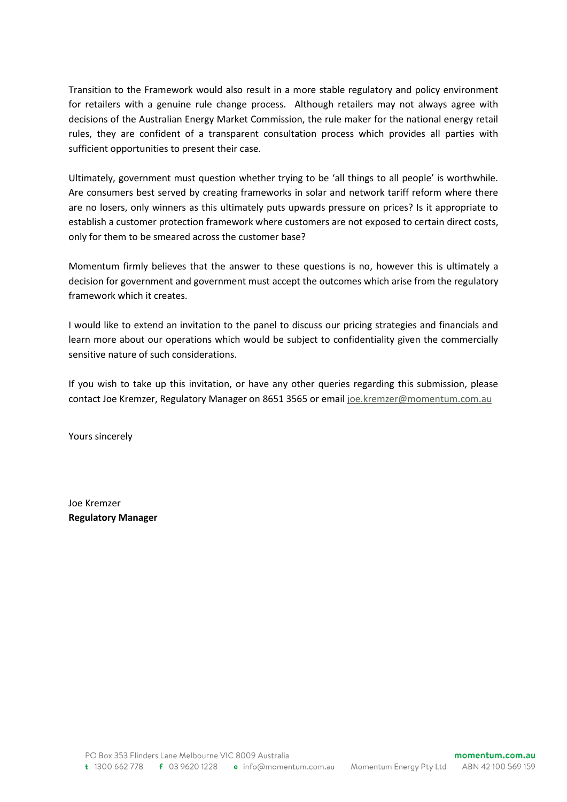Transition to the Framework would also result in a more stable regulatory and policy environment for retailers with a genuine rule change process. Although retailers may not always agree with decisions of the Australian Energy Market Commission, the rule maker for the national energy retail rules, they are confident of a transparent consultation process which provides all parties with sufficient opportunities to present their case.

Ultimately, government must question whether trying to be 'all things to all people' is worthwhile. Are consumers best served by creating frameworks in solar and network tariff reform where there are no losers, only winners as this ultimately puts upwards pressure on prices? Is it appropriate to establish a customer protection framework where customers are not exposed to certain direct costs, only for them to be smeared across the customer base?

Momentum firmly believes that the answer to these questions is no, however this is ultimately a decision for government and government must accept the outcomes which arise from the regulatory framework which it creates.

I would like to extend an invitation to the panel to discuss our pricing strategies and financials and learn more about our operations which would be subject to confidentiality given the commercially sensitive nature of such considerations.

If you wish to take up this invitation, or have any other queries regarding this submission, please contact Joe Kremzer, Regulatory Manager on 8651 3565 or emai[l joe.kremzer@momentum.com.au](mailto:joe.kremzer@momentum.com.au)

Yours sincerely

Joe Kremzer **Regulatory Manager**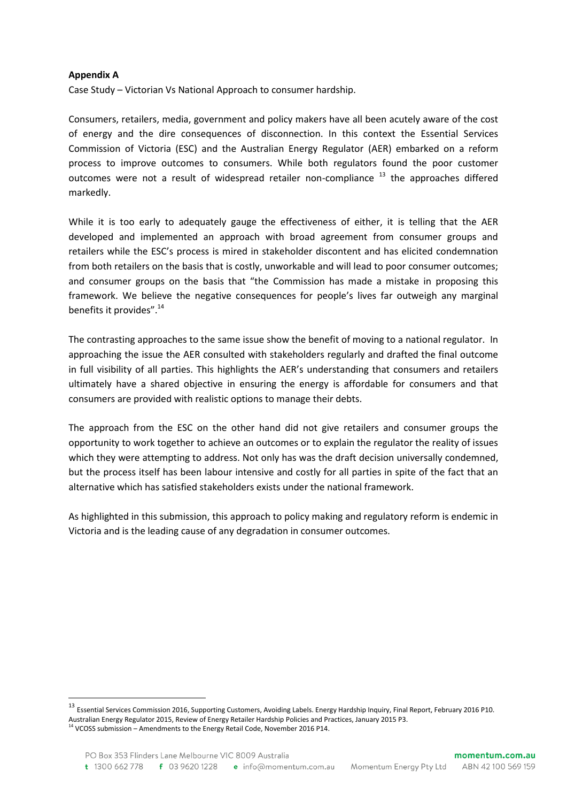#### **Appendix A**

 $\overline{a}$ 

Case Study – Victorian Vs National Approach to consumer hardship.

Consumers, retailers, media, government and policy makers have all been acutely aware of the cost of energy and the dire consequences of disconnection. In this context the Essential Services Commission of Victoria (ESC) and the Australian Energy Regulator (AER) embarked on a reform process to improve outcomes to consumers. While both regulators found the poor customer outcomes were not a result of widespread retailer non-compliance<sup>13</sup> the approaches differed markedly.

While it is too early to adequately gauge the effectiveness of either, it is telling that the AER developed and implemented an approach with broad agreement from consumer groups and retailers while the ESC's process is mired in stakeholder discontent and has elicited condemnation from both retailers on the basis that is costly, unworkable and will lead to poor consumer outcomes; and consumer groups on the basis that "the Commission has made a mistake in proposing this framework. We believe the negative consequences for people's lives far outweigh any marginal benefits it provides".<sup>14</sup>

The contrasting approaches to the same issue show the benefit of moving to a national regulator. In approaching the issue the AER consulted with stakeholders regularly and drafted the final outcome in full visibility of all parties. This highlights the AER's understanding that consumers and retailers ultimately have a shared objective in ensuring the energy is affordable for consumers and that consumers are provided with realistic options to manage their debts.

The approach from the ESC on the other hand did not give retailers and consumer groups the opportunity to work together to achieve an outcomes or to explain the regulator the reality of issues which they were attempting to address. Not only has was the draft decision universally condemned, but the process itself has been labour intensive and costly for all parties in spite of the fact that an alternative which has satisfied stakeholders exists under the national framework.

As highlighted in this submission, this approach to policy making and regulatory reform is endemic in Victoria and is the leading cause of any degradation in consumer outcomes.

<sup>13</sup> Essential Services Commission 2016, Supporting Customers, Avoiding Labels. Energy Hardship Inquiry, Final Report, February 2016 P10. Australian Energy Regulator 2015, Review of Energy Retailer Hardship Policies and Practices, January 2015 P3. <sup>14</sup> VCOSS submission – Amendments to the Energy Retail Code, November 2016 P14.